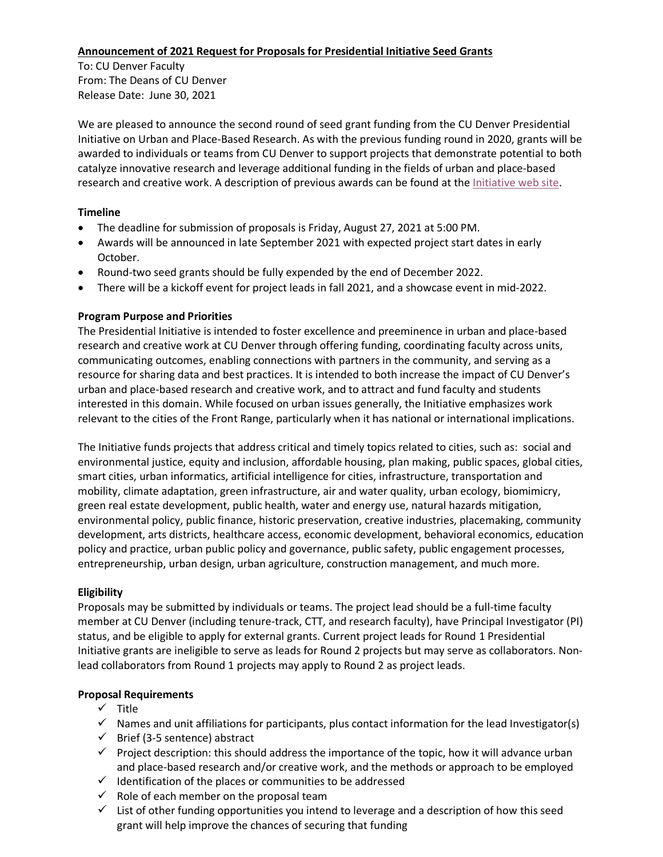## **Announcement of 2021 Request for Proposals for Presidential Initiative Seed Grants**

To: CU Denver Faculty From: The Deans of CU Denver Release Date: June 30, 2021

We are pleased to announce the second round of seed grant funding from the CU Denver Presidential Initiative on Urban and Place-Based Research. As with the previous funding round in 2020, grants will be awarded to individuals or teams from CU Denver to support projects that demonstrate potential to both catalyze innovative research and leverage additional funding in the fields of urban and place-based research and creative work. A description of previous awards can be found at the [Initiative web site.](https://ucdenver.edu/urban)

## **Timeline**

- The deadline for submission of proposals is Friday, August 27, 2021 at 5:00 PM.
- Awards will be announced in late September 2021 with expected project start dates in early October.
- Round-two seed grants should be fully expended by the end of December 2022.
- There will be a kickoff event for project leads in fall 2021, and a showcase event in mid-2022.

## **Program Purpose and Priorities**

The Presidential Initiative is intended to foster excellence and preeminence in urban and place-based research and creative work at CU Denver through offering funding, coordinating faculty across units, communicating outcomes, enabling connections with partners in the community, and serving as a resource for sharing data and best practices. It is intended to both increase the impact of CU Denver's urban and place-based research and creative work, and to attract and fund faculty and students interested in this domain. While focused on urban issues generally, the Initiative emphasizes work relevant to the cities of the Front Range, particularly when it has national or international implications.

The Initiative funds projects that address critical and timely topics related to cities, such as: social and environmental justice, equity and inclusion, affordable housing, plan making, public spaces, global cities, smart cities, urban informatics, artificial intelligence for cities, infrastructure, transportation and mobility, climate adaptation, green infrastructure, air and water quality, urban ecology, biomimicry, green real estate development, public health, water and energy use, natural hazards mitigation, environmental policy, public finance, historic preservation, creative industries, placemaking, community development, arts districts, healthcare access, economic development, behavioral economics, education policy and practice, urban public policy and governance, public safety, public engagement processes, entrepreneurship, urban design, urban agriculture, construction management, and much more.

# **Eligibility**

Proposals may be submitted by individuals or teams. The project lead should be a full-time faculty member at CU Denver (including tenure-track, CTT, and research faculty), have Principal Investigator (PI) status, and be eligible to apply for external grants. Current project leads for Round 1 Presidential Initiative grants are ineligible to serve as leads for Round 2 projects but may serve as collaborators. Nonlead collaborators from Round 1 projects may apply to Round 2 as project leads.

# **Proposal Requirements**

- $\checkmark$  Title
- $\checkmark$  Names and unit affiliations for participants, plus contact information for the lead Investigator(s)
- $\checkmark$  Brief (3-5 sentence) abstract
- $\checkmark$  Project description: this should address the importance of the topic, how it will advance urban and place-based research and/or creative work, and the methods or approach to be employed
- $\checkmark$  Identification of the places or communities to be addressed
- $\checkmark$  Role of each member on the proposal team
- $\checkmark$  List of other funding opportunities you intend to leverage and a description of how this seed grant will help improve the chances of securing that funding